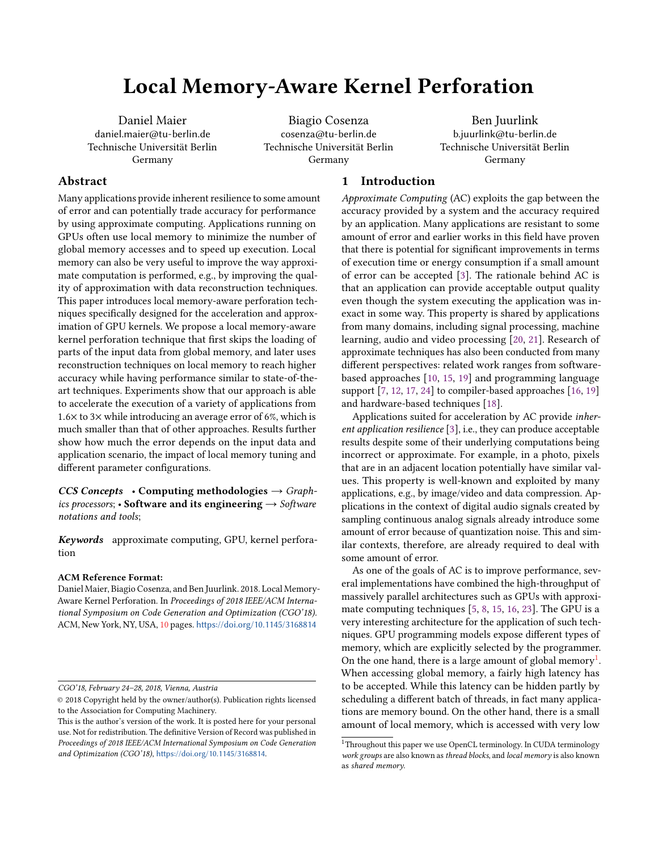# Local Memory-Aware Kernel Perforation

Daniel Maier daniel.maier@tu-berlin.de Technische Universität Berlin Germany

Biagio Cosenza cosenza@tu-berlin.de Technische Universität Berlin Germany

Ben Juurlink b.juurlink@tu-berlin.de Technische Universität Berlin Germany

## Abstract

Many applications provide inherent resilience to some amount of error and can potentially trade accuracy for performance by using approximate computing. Applications running on GPUs often use local memory to minimize the number of global memory accesses and to speed up execution. Local memory can also be very useful to improve the way approximate computation is performed, e.g., by improving the quality of approximation with data reconstruction techniques. This paper introduces local memory-aware perforation techniques specifically designed for the acceleration and approximation of GPU kernels. We propose a local memory-aware kernel perforation technique that first skips the loading of parts of the input data from global memory, and later uses reconstruction techniques on local memory to reach higher accuracy while having performance similar to state-of-theart techniques. Experiments show that our approach is able to accelerate the execution of a variety of applications from <sup>1</sup>.6<sup>×</sup> to <sup>3</sup><sup>×</sup> while introducing an average error of 6%, which is much smaller than that of other approaches. Results further show how much the error depends on the input data and application scenario, the impact of local memory tuning and different parameter configurations.

 $CCS$  Concepts • Computing methodologies  $\rightarrow$  Graphics processors; • Software and its engineering  $\rightarrow$  Software notations and tools;

Keywords approximate computing, GPU, kernel perforation

#### ACM Reference Format:

Daniel Maier, Biagio Cosenza, and Ben Juurlink. 2018. Local Memory-Aware Kernel Perforation. In Proceedings of 2018 IEEE/ACM International Symposium on Code Generation and Optimization (CGO'18). ACM, New York, NY, USA, [10](#page-9-0) pages. <https://doi.org/10.1145/3168814>

CGO'18, February 24–28, 2018, Vienna, Austria

#### 1 Introduction

Approximate Computing (AC) exploits the gap between the accuracy provided by a system and the accuracy required by an application. Many applications are resistant to some amount of error and earlier works in this field have proven that there is potential for significant improvements in terms of execution time or energy consumption if a small amount of error can be accepted [\[3\]](#page-9-1). The rationale behind AC is that an application can provide acceptable output quality even though the system executing the application was inexact in some way. This property is shared by applications from many domains, including signal processing, machine learning, audio and video processing [\[20,](#page-9-2) [21\]](#page-9-3). Research of approximate techniques has also been conducted from many different perspectives: related work ranges from softwarebased approaches [\[10,](#page-9-4) [15,](#page-9-5) [19\]](#page-9-6) and programming language support [\[7,](#page-9-7) [12,](#page-9-8) [17,](#page-9-9) [24\]](#page-9-10) to compiler-based approaches [\[16,](#page-9-11) [19\]](#page-9-6) and hardware-based techniques [\[18\]](#page-9-12).

Applications suited for acceleration by AC provide inherent application resilience [\[3\]](#page-9-1), i.e., they can produce acceptable results despite some of their underlying computations being incorrect or approximate. For example, in a photo, pixels that are in an adjacent location potentially have similar values. This property is well-known and exploited by many applications, e.g., by image/video and data compression. Applications in the context of digital audio signals created by sampling continuous analog signals already introduce some amount of error because of quantization noise. This and similar contexts, therefore, are already required to deal with some amount of error.

As one of the goals of AC is to improve performance, several implementations have combined the high-throughput of massively parallel architectures such as GPUs with approximate computing techniques [\[5,](#page-9-13) [8,](#page-9-14) [15,](#page-9-5) [16,](#page-9-11) [23\]](#page-9-15). The GPU is a very interesting architecture for the application of such techniques. GPU programming models expose different types of memory, which are explicitly selected by the programmer. On the one hand, there is a large amount of global memory<sup>[1](#page-0-0)</sup>. When accessing global memory, a fairly high latency has to be accepted. While this latency can be hidden partly by scheduling a different batch of threads, in fact many applications are memory bound. On the other hand, there is a small amount of local memory, which is accessed with very low

<sup>©</sup> 2018 Copyright held by the owner/author(s). Publication rights licensed to the Association for Computing Machinery.

This is the author's version of the work. It is posted here for your personal use. Not for redistribution. The definitive Version of Record was published in Proceedings of 2018 IEEE/ACM International Symposium on Code Generation and Optimization (CGO'18), <https://doi.org/10.1145/3168814>.

<span id="page-0-0"></span><sup>&</sup>lt;sup>1</sup>Throughout this paper we use OpenCL terminology. In CUDA terminology work groups are also known as thread blocks, and local memory is also known as shared memory.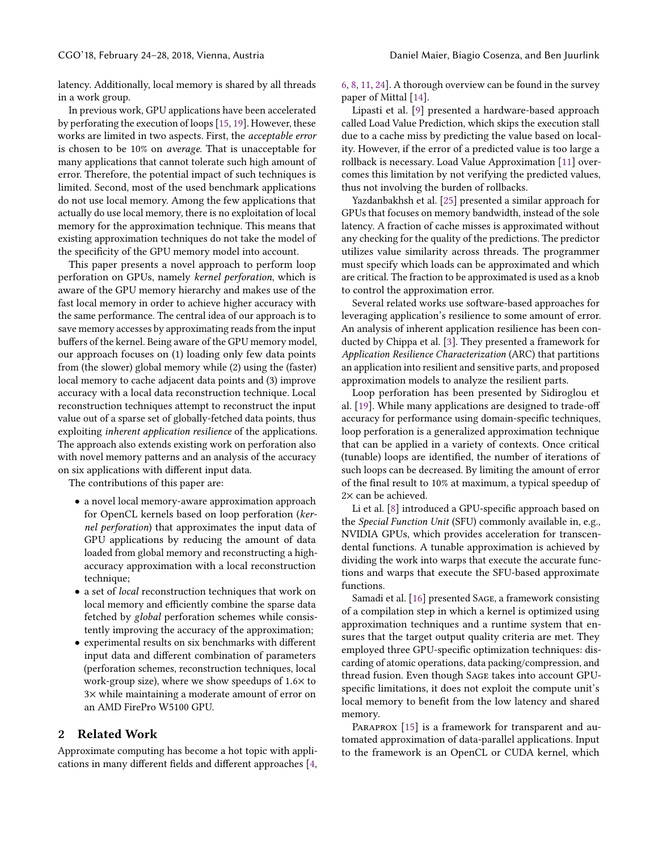latency. Additionally, local memory is shared by all threads in a work group.

In previous work, GPU applications have been accelerated by perforating the execution of loops [\[15,](#page-9-5) [19\]](#page-9-6). However, these works are limited in two aspects. First, the acceptable error is chosen to be 10% on average. That is unacceptable for many applications that cannot tolerate such high amount of error. Therefore, the potential impact of such techniques is limited. Second, most of the used benchmark applications do not use local memory. Among the few applications that actually do use local memory, there is no exploitation of local memory for the approximation technique. This means that existing approximation techniques do not take the model of the specificity of the GPU memory model into account.

This paper presents a novel approach to perform loop perforation on GPUs, namely kernel perforation, which is aware of the GPU memory hierarchy and makes use of the fast local memory in order to achieve higher accuracy with the same performance. The central idea of our approach is to save memory accesses by approximating reads from the input buffers of the kernel. Being aware of the GPU memory model, our approach focuses on (1) loading only few data points from (the slower) global memory while (2) using the (faster) local memory to cache adjacent data points and (3) improve accuracy with a local data reconstruction technique. Local reconstruction techniques attempt to reconstruct the input value out of a sparse set of globally-fetched data points, thus exploiting inherent application resilience of the applications. The approach also extends existing work on perforation also with novel memory patterns and an analysis of the accuracy on six applications with different input data.

The contributions of this paper are:

- a novel local memory-aware approximation approach for OpenCL kernels based on loop perforation (kernel perforation) that approximates the input data of GPU applications by reducing the amount of data loaded from global memory and reconstructing a highaccuracy approximation with a local reconstruction technique;
- a set of local reconstruction techniques that work on local memory and efficiently combine the sparse data fetched by global perforation schemes while consistently improving the accuracy of the approximation;
- experimental results on six benchmarks with different input data and different combination of parameters (perforation schemes, reconstruction techniques, local work-group size), where we show speedups of <sup>1</sup>.6<sup>×</sup> to 3× while maintaining a moderate amount of error on an AMD FirePro W5100 GPU.

# 2 Related Work

Approximate computing has become a hot topic with applications in many different fields and different approaches [\[4,](#page-9-16) [6,](#page-9-17) [8,](#page-9-14) [11,](#page-9-18) [24\]](#page-9-10). A thorough overview can be found in the survey paper of Mittal [\[14\]](#page-9-19).

Lipasti et al. [\[9\]](#page-9-20) presented a hardware-based approach called Load Value Prediction, which skips the execution stall due to a cache miss by predicting the value based on locality. However, if the error of a predicted value is too large a rollback is necessary. Load Value Approximation [\[11\]](#page-9-18) overcomes this limitation by not verifying the predicted values, thus not involving the burden of rollbacks.

Yazdanbakhsh et al. [\[25\]](#page-9-21) presented a similar approach for GPUs that focuses on memory bandwidth, instead of the sole latency. A fraction of cache misses is approximated without any checking for the quality of the predictions. The predictor utilizes value similarity across threads. The programmer must specify which loads can be approximated and which are critical. The fraction to be approximated is used as a knob to control the approximation error.

Several related works use software-based approaches for leveraging application's resilience to some amount of error. An analysis of inherent application resilience has been conducted by Chippa et al. [\[3\]](#page-9-1). They presented a framework for Application Resilience Characterization (ARC) that partitions an application into resilient and sensitive parts, and proposed approximation models to analyze the resilient parts.

Loop perforation has been presented by Sidiroglou et al. [\[19\]](#page-9-6). While many applications are designed to trade-off accuracy for performance using domain-specific techniques, loop perforation is a generalized approximation technique that can be applied in a variety of contexts. Once critical (tunable) loops are identified, the number of iterations of such loops can be decreased. By limiting the amount of error of the final result to 10% at maximum, a typical speedup of 2× can be achieved.

Li et al. [\[8\]](#page-9-14) introduced a GPU-specific approach based on the Special Function Unit (SFU) commonly available in, e.g., NVIDIA GPUs, which provides acceleration for transcendental functions. A tunable approximation is achieved by dividing the work into warps that execute the accurate functions and warps that execute the SFU-based approximate functions.

Samadi et al. [\[16\]](#page-9-11) presented SAGE, a framework consisting of a compilation step in which a kernel is optimized using approximation techniques and a runtime system that ensures that the target output quality criteria are met. They employed three GPU-specific optimization techniques: discarding of atomic operations, data packing/compression, and thread fusion. Even though Sage takes into account GPUspecific limitations, it does not exploit the compute unit's local memory to benefit from the low latency and shared memory.

PARAPROX [\[15\]](#page-9-5) is a framework for transparent and automated approximation of data-parallel applications. Input to the framework is an OpenCL or CUDA kernel, which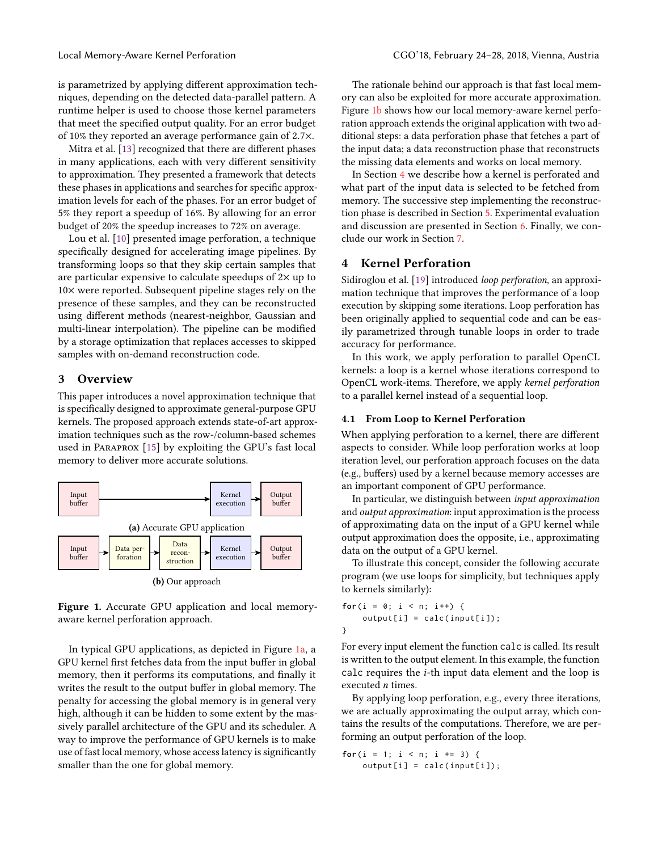is parametrized by applying different approximation techniques, depending on the detected data-parallel pattern. A runtime helper is used to choose those kernel parameters that meet the specified output quality. For an error budget of 10% they reported an average performance gain of <sup>2</sup>.7×.

Mitra et al. [\[13\]](#page-9-22) recognized that there are different phases in many applications, each with very different sensitivity to approximation. They presented a framework that detects these phases in applications and searches for specific approximation levels for each of the phases. For an error budget of 5% they report a speedup of 16%. By allowing for an error budget of 20% the speedup increases to 72% on average.

Lou et al. [\[10\]](#page-9-4) presented image perforation, a technique specifically designed for accelerating image pipelines. By transforming loops so that they skip certain samples that are particular expensive to calculate speedups of 2× up to 10× were reported. Subsequent pipeline stages rely on the presence of these samples, and they can be reconstructed using different methods (nearest-neighbor, Gaussian and multi-linear interpolation). The pipeline can be modified by a storage optimization that replaces accesses to skipped samples with on-demand reconstruction code.

## 3 Overview

This paper introduces a novel approximation technique that is specifically designed to approximate general-purpose GPU kernels. The proposed approach extends state-of-art approximation techniques such as the row-/column-based schemes used in Paraprox [\[15\]](#page-9-5) by exploiting the GPU's fast local memory to deliver more accurate solutions.

<span id="page-2-0"></span>

Figure 1. Accurate GPU application and local memoryaware kernel perforation approach.

In typical GPU applications, as depicted in Figure [1a,](#page-2-0) a GPU kernel first fetches data from the input buffer in global memory, then it performs its computations, and finally it writes the result to the output buffer in global memory. The penalty for accessing the global memory is in general very high, although it can be hidden to some extent by the massively parallel architecture of the GPU and its scheduler. A way to improve the performance of GPU kernels is to make use of fast local memory, whose access latency is significantly smaller than the one for global memory.

The rationale behind our approach is that fast local memory can also be exploited for more accurate approximation. Figure [1b](#page-2-0) shows how our local memory-aware kernel perforation approach extends the original application with two additional steps: a data perforation phase that fetches a part of the input data; a data reconstruction phase that reconstructs the missing data elements and works on local memory.

In Section [4](#page-2-1) we describe how a kernel is perforated and what part of the input data is selected to be fetched from memory. The successive step implementing the reconstruction phase is described in Section [5.](#page-4-0) Experimental evaluation and discussion are presented in Section [6.](#page-5-0) Finally, we conclude our work in Section [7.](#page-8-0)

# <span id="page-2-1"></span>4 Kernel Perforation

Sidiroglou et al. [\[19\]](#page-9-6) introduced loop perforation, an approximation technique that improves the performance of a loop execution by skipping some iterations. Loop perforation has been originally applied to sequential code and can be easily parametrized through tunable loops in order to trade accuracy for performance.

In this work, we apply perforation to parallel OpenCL kernels: a loop is a kernel whose iterations correspond to OpenCL work-items. Therefore, we apply kernel perforation to a parallel kernel instead of a sequential loop.

#### 4.1 From Loop to Kernel Perforation

When applying perforation to a kernel, there are different aspects to consider. While loop perforation works at loop iteration level, our perforation approach focuses on the data (e.g., buffers) used by a kernel because memory accesses are an important component of GPU performance.

In particular, we distinguish between input approximation and output approximation: input approximation is the process of approximating data on the input of a GPU kernel while output approximation does the opposite, i.e., approximating data on the output of a GPU kernel.

To illustrate this concept, consider the following accurate program (we use loops for simplicity, but techniques apply to kernels similarly):

```
for (i = 0; i < n; i++) {
    output[i] = calc(input[i]);
}
```
For every input element the function calc is called. Its result is written to the output element. In this example, the function calc requires the i-th input data element and the loop is executed n times.

By applying loop perforation, e.g., every three iterations, we are actually approximating the output array, which contains the results of the computations. Therefore, we are performing an output perforation of the loop.

**for**  $(i = 1; i < n; i +1)$  {  $output[i] = calc(input[i]);$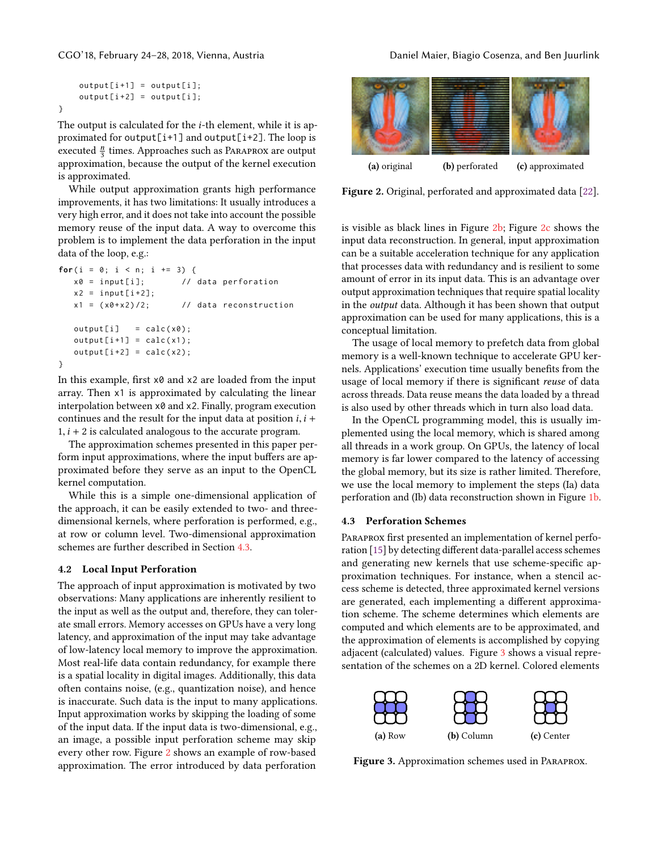```
output[i+1] = output[i];output[i+2] = output[i];
```
}

The output is calculated for the *i*-th element, while it is approximated for output[i+1] and output[i+2]. The loop is executed  $\frac{n}{3}$  times. Approaches such as Paraprox are output approximation, because the output of the kernel execution is approximated.

While output approximation grants high performance improvements, it has two limitations: It usually introduces a very high error, and it does not take into account the possible memory reuse of the input data. A way to overcome this problem is to implement the data perforation in the input data of the loop, e.g.:

```
for (i = 0; i < n; i \ne 3) {
  x0 = input[i]; // data perforation
  x2 = input[i+2];x1 = (x0+x2)/2; // data reconstruction
   output[i] = calc(x0);output[i+1] = calc(x1);output[i+2] = calc(x2);}
```
In this example, first  $x0$  and  $x2$  are loaded from the input array. Then x1 is approximated by calculating the linear interpolation between x0 and x2. Finally, program execution continues and the result for the input data at position  $i, i +$  $1, i + 2$  is calculated analogous to the accurate program.

The approximation schemes presented in this paper perform input approximations, where the input buffers are approximated before they serve as an input to the OpenCL kernel computation.

While this is a simple one-dimensional application of the approach, it can be easily extended to two- and threedimensional kernels, where perforation is performed, e.g., at row or column level. Two-dimensional approximation schemes are further described in Section [4.3.](#page-3-0)

#### 4.2 Local Input Perforation

The approach of input approximation is motivated by two observations: Many applications are inherently resilient to the input as well as the output and, therefore, they can tolerate small errors. Memory accesses on GPUs have a very long latency, and approximation of the input may take advantage of low-latency local memory to improve the approximation. Most real-life data contain redundancy, for example there is a spatial locality in digital images. Additionally, this data often contains noise, (e.g., quantization noise), and hence is inaccurate. Such data is the input to many applications. Input approximation works by skipping the loading of some of the input data. If the input data is two-dimensional, e.g., an image, a possible input perforation scheme may skip every other row. Figure [2](#page-3-1) shows an example of row-based approximation. The error introduced by data perforation

<span id="page-3-1"></span>

Figure 2. Original, perforated and approximated data [\[22\]](#page-9-23).

is visible as black lines in Figure  $2b$ ; Figure  $2c$  shows the input data reconstruction. In general, input approximation can be a suitable acceleration technique for any application that processes data with redundancy and is resilient to some amount of error in its input data. This is an advantage over output approximation techniques that require spatial locality in the output data. Although it has been shown that output approximation can be used for many applications, this is a conceptual limitation.

The usage of local memory to prefetch data from global memory is a well-known technique to accelerate GPU kernels. Applications' execution time usually benefits from the usage of local memory if there is significant reuse of data across threads. Data reuse means the data loaded by a thread is also used by other threads which in turn also load data.

In the OpenCL programming model, this is usually implemented using the local memory, which is shared among all threads in a work group. On GPUs, the latency of local memory is far lower compared to the latency of accessing the global memory, but its size is rather limited. Therefore, we use the local memory to implement the steps (Ia) data perforation and (Ib) data reconstruction shown in Figure [1b.](#page-2-0)

#### <span id="page-3-0"></span>4.3 Perforation Schemes

Paraprox first presented an implementation of kernel perforation [\[15\]](#page-9-5) by detecting different data-parallel access schemes and generating new kernels that use scheme-specific approximation techniques. For instance, when a stencil access scheme is detected, three approximated kernel versions are generated, each implementing a different approximation scheme. The scheme determines which elements are computed and which elements are to be approximated, and the approximation of elements is accomplished by copying adjacent (calculated) values. Figure [3](#page-3-2) shows a visual representation of the schemes on a 2D kernel. Colored elements

<span id="page-3-2"></span>

Figure 3. Approximation schemes used in Paraprox.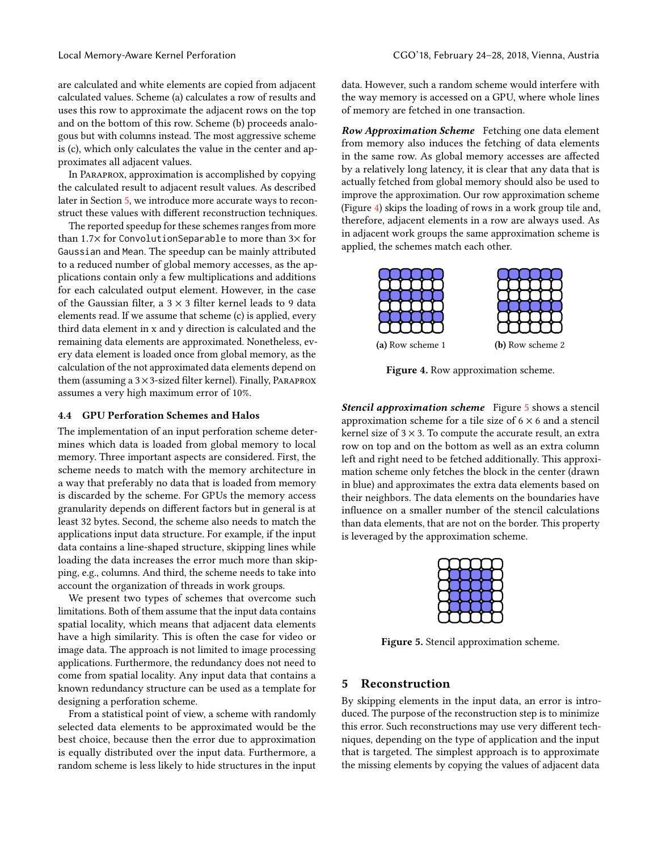are calculated and white elements are copied from adjacent calculated values. Scheme (a) calculates a row of results and uses this row to approximate the adjacent rows on the top and on the bottom of this row. Scheme (b) proceeds analogous but with columns instead. The most aggressive scheme is (c), which only calculates the value in the center and approximates all adjacent values.

In Paraprox, approximation is accomplished by copying the calculated result to adjacent result values. As described later in Section [5,](#page-4-0) we introduce more accurate ways to reconstruct these values with different reconstruction techniques.

The reported speedup for these schemes ranges from more than <sup>1</sup>.7<sup>×</sup> for ConvolutionSeparable to more than <sup>3</sup><sup>×</sup> for Gaussian and Mean. The speedup can be mainly attributed to a reduced number of global memory accesses, as the applications contain only a few multiplications and additions for each calculated output element. However, in the case of the Gaussian filter, a  $3 \times 3$  filter kernel leads to 9 data elements read. If we assume that scheme (c) is applied, every third data element in x and y direction is calculated and the remaining data elements are approximated. Nonetheless, every data element is loaded once from global memory, as the calculation of the not approximated data elements depend on them (assuming a  $3 \times 3$ -sized filter kernel). Finally, PARAPROX assumes a very high maximum error of 10%.

## 4.4 GPU Perforation Schemes and Halos

The implementation of an input perforation scheme determines which data is loaded from global memory to local memory. Three important aspects are considered. First, the scheme needs to match with the memory architecture in a way that preferably no data that is loaded from memory is discarded by the scheme. For GPUs the memory access granularity depends on different factors but in general is at least 32 bytes. Second, the scheme also needs to match the applications input data structure. For example, if the input data contains a line-shaped structure, skipping lines while loading the data increases the error much more than skipping, e.g., columns. And third, the scheme needs to take into account the organization of threads in work groups.

We present two types of schemes that overcome such limitations. Both of them assume that the input data contains spatial locality, which means that adjacent data elements have a high similarity. This is often the case for video or image data. The approach is not limited to image processing applications. Furthermore, the redundancy does not need to come from spatial locality. Any input data that contains a known redundancy structure can be used as a template for designing a perforation scheme.

From a statistical point of view, a scheme with randomly selected data elements to be approximated would be the best choice, because then the error due to approximation is equally distributed over the input data. Furthermore, a random scheme is less likely to hide structures in the input data. However, such a random scheme would interfere with the way memory is accessed on a GPU, where whole lines of memory are fetched in one transaction.

Row Approximation Scheme Fetching one data element from memory also induces the fetching of data elements in the same row. As global memory accesses are affected by a relatively long latency, it is clear that any data that is actually fetched from global memory should also be used to improve the approximation. Our row approximation scheme (Figure [4\)](#page-4-1) skips the loading of rows in a work group tile and, therefore, adjacent elements in a row are always used. As in adjacent work groups the same approximation scheme is applied, the schemes match each other.

<span id="page-4-1"></span>

Figure 4. Row approximation scheme.

Stencil approximation scheme Figure [5](#page-4-2) shows a stencil approximation scheme for a tile size of  $6 \times 6$  and a stencil kernel size of  $3 \times 3$ . To compute the accurate result, an extra row on top and on the bottom as well as an extra column left and right need to be fetched additionally. This approximation scheme only fetches the block in the center (drawn in blue) and approximates the extra data elements based on their neighbors. The data elements on the boundaries have influence on a smaller number of the stencil calculations than data elements, that are not on the border. This property is leveraged by the approximation scheme.

<span id="page-4-2"></span>

Figure 5. Stencil approximation scheme.

#### <span id="page-4-0"></span>5 Reconstruction

By skipping elements in the input data, an error is introduced. The purpose of the reconstruction step is to minimize this error. Such reconstructions may use very different techniques, depending on the type of application and the input that is targeted. The simplest approach is to approximate the missing elements by copying the values of adjacent data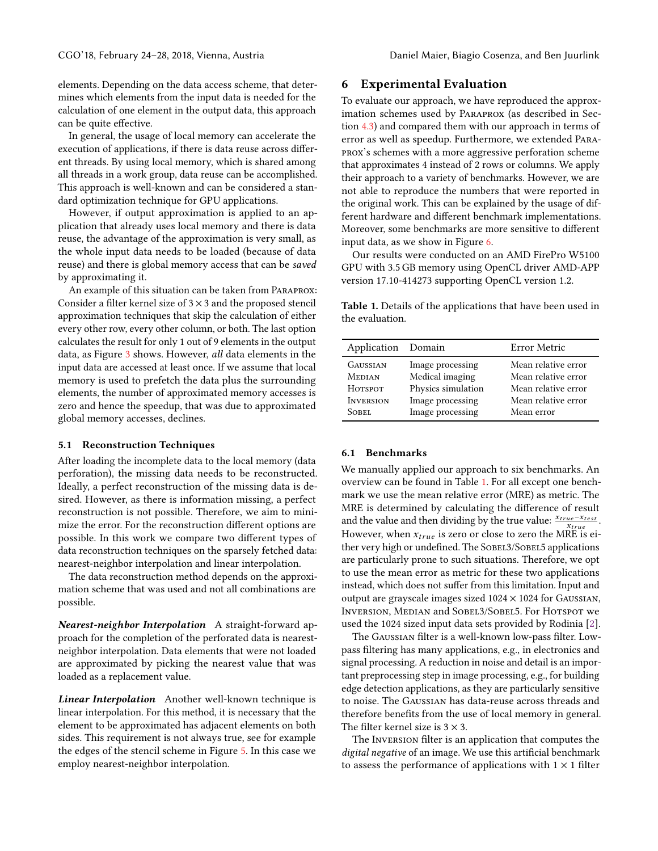elements. Depending on the data access scheme, that determines which elements from the input data is needed for the calculation of one element in the output data, this approach can be quite effective.

In general, the usage of local memory can accelerate the execution of applications, if there is data reuse across different threads. By using local memory, which is shared among all threads in a work group, data reuse can be accomplished. This approach is well-known and can be considered a standard optimization technique for GPU applications.

However, if output approximation is applied to an application that already uses local memory and there is data reuse, the advantage of the approximation is very small, as the whole input data needs to be loaded (because of data reuse) and there is global memory access that can be saved by approximating it.

An example of this situation can be taken from Paraprox: Consider a filter kernel size of  $3 \times 3$  and the proposed stencil approximation techniques that skip the calculation of either every other row, every other column, or both. The last option calculates the result for only 1 out of 9 elements in the output data, as Figure [3](#page-3-2) shows. However, all data elements in the input data are accessed at least once. If we assume that local memory is used to prefetch the data plus the surrounding elements, the number of approximated memory accesses is zero and hence the speedup, that was due to approximated global memory accesses, declines.

#### 5.1 Reconstruction Techniques

After loading the incomplete data to the local memory (data perforation), the missing data needs to be reconstructed. Ideally, a perfect reconstruction of the missing data is desired. However, as there is information missing, a perfect reconstruction is not possible. Therefore, we aim to minimize the error. For the reconstruction different options are possible. In this work we compare two different types of data reconstruction techniques on the sparsely fetched data: nearest-neighbor interpolation and linear interpolation.

The data reconstruction method depends on the approximation scheme that was used and not all combinations are possible.

Nearest-neighbor Interpolation A straight-forward approach for the completion of the perforated data is nearestneighbor interpolation. Data elements that were not loaded are approximated by picking the nearest value that was loaded as a replacement value.

Linear Interpolation Another well-known technique is linear interpolation. For this method, it is necessary that the element to be approximated has adjacent elements on both sides. This requirement is not always true, see for example the edges of the stencil scheme in Figure [5.](#page-4-2) In this case we employ nearest-neighbor interpolation.

## <span id="page-5-0"></span>6 Experimental Evaluation

To evaluate our approach, we have reproduced the approximation schemes used by Paraprox (as described in Section [4.3\)](#page-3-0) and compared them with our approach in terms of error as well as speedup. Furthermore, we extended Paraprox's schemes with a more aggressive perforation scheme that approximates 4 instead of 2 rows or columns. We apply their approach to a variety of benchmarks. However, we are not able to reproduce the numbers that were reported in the original work. This can be explained by the usage of different hardware and different benchmark implementations. Moreover, some benchmarks are more sensitive to different input data, as we show in Figure [6.](#page-6-0)

Our results were conducted on an AMD FirePro W5100 GPU with 3.5 GB memory using OpenCL driver AMD-APP version 17.10-414273 supporting OpenCL version 1.2.

<span id="page-5-1"></span>Table 1. Details of the applications that have been used in the evaluation.

| Application Domain |                    | Error Metric        |
|--------------------|--------------------|---------------------|
| <b>GAUSSIAN</b>    | Image processing   | Mean relative error |
| <b>MEDIAN</b>      | Medical imaging    | Mean relative error |
| <b>HOTSPOT</b>     | Physics simulation | Mean relative error |
| INVERSION          | Image processing   | Mean relative error |
| SOBEL.             | Image processing   | Mean error          |

## <span id="page-5-2"></span>6.1 Benchmarks

We manually applied our approach to six benchmarks. An overview can be found in Table [1.](#page-5-1) For all except one benchmark we use the mean relative error (MRE) as metric. The MRE is determined by calculating the difference of result and the value and then dividing by the true value:  $\frac{x_{true} - x_{test}}{x_{true}}$ . However, when  $x_{true}$  is zero or close to zero the MRE is either very high or undefined. The SOBEL3/SOBEL5 applications are particularly prone to such situations. Therefore, we opt to use the mean error as metric for these two applications instead, which does not suffer from this limitation. Input and output are grayscale images sized  $1024 \times 1024$  for GAUSSIAN, Inversion, Median and Sobel3/Sobel5. For Hotspot we used the 1024 sized input data sets provided by Rodinia [\[2\]](#page-9-24).

The Gaussian filter is a well-known low-pass filter. Lowpass filtering has many applications, e.g., in electronics and signal processing. A reduction in noise and detail is an important preprocessing step in image processing, e.g., for building edge detection applications, as they are particularly sensitive to noise. The Gaussian has data-reuse across threads and therefore benefits from the use of local memory in general. The filter kernel size is  $3 \times 3$ .

The Inversion filter is an application that computes the digital negative of an image. We use this artificial benchmark to assess the performance of applications with  $1 \times 1$  filter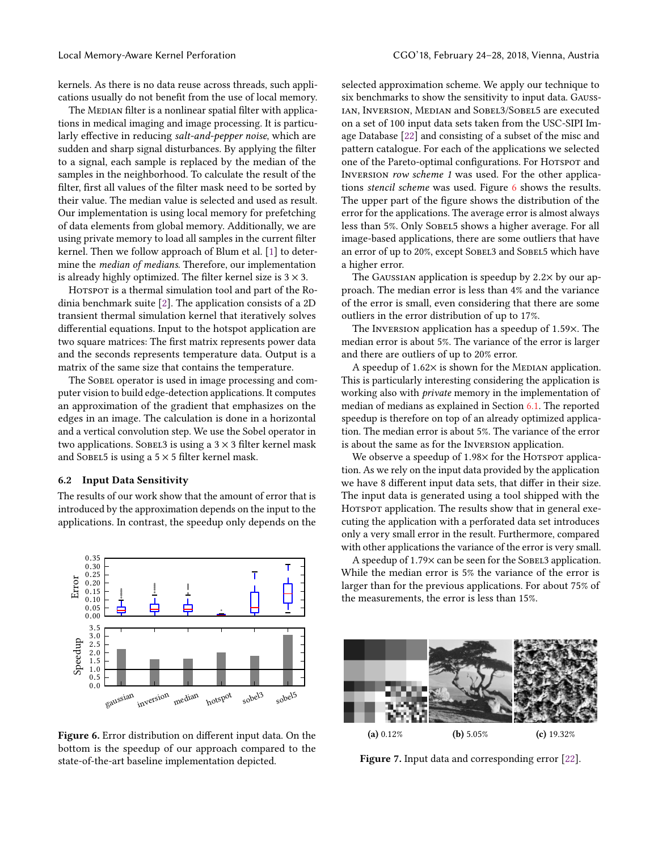kernels. As there is no data reuse across threads, such applications usually do not benefit from the use of local memory.

The MEDIAN filter is a nonlinear spatial filter with applications in medical imaging and image processing. It is particularly effective in reducing salt-and-pepper noise, which are sudden and sharp signal disturbances. By applying the filter to a signal, each sample is replaced by the median of the samples in the neighborhood. To calculate the result of the filter, first all values of the filter mask need to be sorted by their value. The median value is selected and used as result. Our implementation is using local memory for prefetching of data elements from global memory. Additionally, we are using private memory to load all samples in the current filter kernel. Then we follow approach of Blum et al. [\[1\]](#page-9-25) to determine the median of medians. Therefore, our implementation is already highly optimized. The filter kernel size is  $3 \times 3$ .

HOTSPOT is a thermal simulation tool and part of the Rodinia benchmark suite [\[2\]](#page-9-24). The application consists of a 2D transient thermal simulation kernel that iteratively solves differential equations. Input to the hotspot application are two square matrices: The first matrix represents power data and the seconds represents temperature data. Output is a matrix of the same size that contains the temperature.

The Sobel operator is used in image processing and computer vision to build edge-detection applications. It computes an approximation of the gradient that emphasizes on the edges in an image. The calculation is done in a horizontal and a vertical convolution step. We use the Sobel operator in two applications. Sobel 3 is using a  $3 \times 3$  filter kernel mask and SOBEL5 is using a  $5 \times 5$  filter kernel mask.

#### 6.2 Input Data Sensitivity

The results of our work show that the amount of error that is introduced by the approximation depends on the input to the applications. In contrast, the speedup only depends on the

<span id="page-6-0"></span>

Figure 6. Error distribution on different input data. On the bottom is the speedup of our approach compared to the state-of-the-art baseline implementation depicted.

selected approximation scheme. We apply our technique to six benchmarks to show the sensitivity to input data. Gaussian, Inversion, Median and Sobel3/Sobel5 are executed on a set of 100 input data sets taken from the USC-SIPI Image Database [\[22\]](#page-9-23) and consisting of a subset of the misc and pattern catalogue. For each of the applications we selected one of the Pareto-optimal configurations. For HOTSPOT and Inversion row scheme 1 was used. For the other applications stencil scheme was used. Figure [6](#page-6-0) shows the results. The upper part of the figure shows the distribution of the error for the applications. The average error is almost always less than 5%. Only Sobel 5 shows a higher average. For all image-based applications, there are some outliers that have an error of up to 20%, except Sobel3 and Sobel5 which have a higher error.

The GAUSSIAN application is speedup by  $2.2 \times$  by our approach. The median error is less than 4% and the variance of the error is small, even considering that there are some outliers in the error distribution of up to 17%.

The Inversion application has a speedup of <sup>1</sup>.59×. The median error is about 5%. The variance of the error is larger and there are outliers of up to 20% error.

A speedup of  $1.62 \times$  is shown for the MEDIAN application. This is particularly interesting considering the application is working also with private memory in the implementation of median of medians as explained in Section [6.1.](#page-5-2) The reported speedup is therefore on top of an already optimized application. The median error is about 5%. The variance of the error is about the same as for the Inversion application.

We observe a speedup of  $1.98\times$  for the HOTSPOT application. As we rely on the input data provided by the application we have 8 different input data sets, that differ in their size. The input data is generated using a tool shipped with the HOTSPOT application. The results show that in general executing the application with a perforated data set introduces only a very small error in the result. Furthermore, compared with other applications the variance of the error is very small.

A speedup of 1.79× can be seen for the SOBEL3 application. While the median error is 5% the variance of the error is larger than for the previous applications. For about 75% of the measurements, the error is less than 15%.

<span id="page-6-1"></span>

Figure 7. Input data and corresponding error [\[22\]](#page-9-23).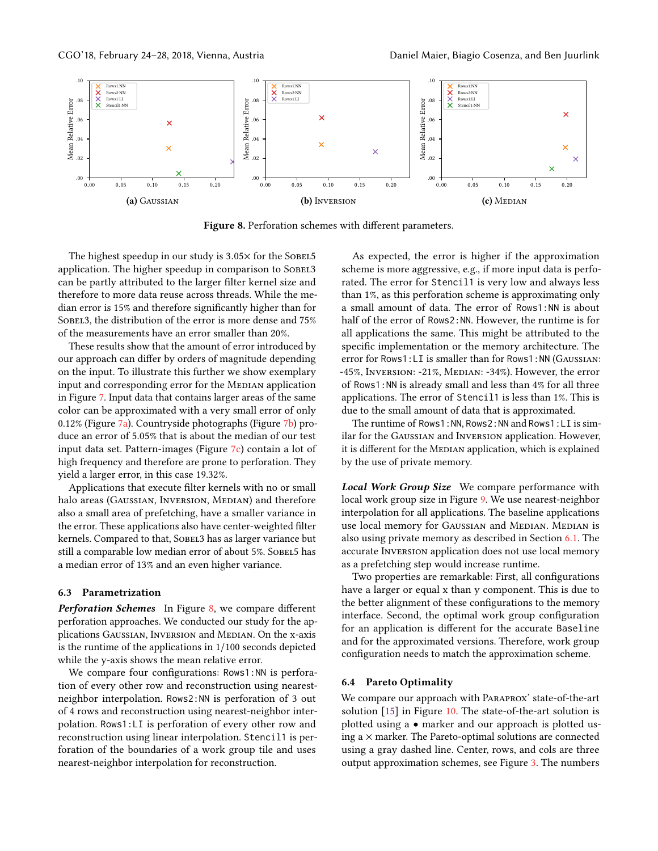<span id="page-7-0"></span>

Figure 8. Perforation schemes with different parameters.

The highest speedup in our study is  $3.05\times$  for the SOBEL5 application. The higher speedup in comparison to SOBEL3 can be partly attributed to the larger filter kernel size and therefore to more data reuse across threads. While the median error is 15% and therefore significantly higher than for SOBEL3, the distribution of the error is more dense and 75% of the measurements have an error smaller than 20%.

These results show that the amount of error introduced by our approach can differ by orders of magnitude depending on the input. To illustrate this further we show exemplary input and corresponding error for the MEDIAN application in Figure [7.](#page-6-1) Input data that contains larger areas of the same color can be approximated with a very small error of only 0.12% (Figure [7a\)](#page-6-1). Countryside photographs (Figure [7b\)](#page-6-1) produce an error of 5.05% that is about the median of our test input data set. Pattern-images (Figure [7c\)](#page-6-1) contain a lot of high frequency and therefore are prone to perforation. They yield a larger error, in this case 19.32%.

Applications that execute filter kernels with no or small halo areas (GAUSSIAN, INVERSION, MEDIAN) and therefore also a small area of prefetching, have a smaller variance in the error. These applications also have center-weighted filter kernels. Compared to that, SOBEL3 has as larger variance but still a comparable low median error of about 5%. SOBEL5 has a median error of 13% and an even higher variance.

#### 6.3 Parametrization

Perforation Schemes In Figure [8,](#page-7-0) we compare different perforation approaches. We conducted our study for the applications GAUSSIAN, INVERSION and MEDIAN. On the x-axis is the runtime of the applications in <sup>1</sup>/<sup>100</sup> seconds depicted while the y-axis shows the mean relative error.

We compare four configurations: Rows1:NN is perforation of every other row and reconstruction using nearestneighbor interpolation. Rows2:NN is perforation of 3 out of 4 rows and reconstruction using nearest-neighbor interpolation. Rows1:LI is perforation of every other row and reconstruction using linear interpolation. Stencil1 is perforation of the boundaries of a work group tile and uses nearest-neighbor interpolation for reconstruction.

As expected, the error is higher if the approximation scheme is more aggressive, e.g., if more input data is perforated. The error for Stencil1 is very low and always less than 1%, as this perforation scheme is approximating only a small amount of data. The error of Rows1:NN is about half of the error of Rows2:NN. However, the runtime is for all applications the same. This might be attributed to the specific implementation or the memory architecture. The error for Rows1:LI is smaller than for Rows1:NN (Gaussian: -45%, Inversion: -21%, Median: -34%). However, the error of Rows1:NN is already small and less than 4% for all three applications. The error of Stencil1 is less than 1%. This is due to the small amount of data that is approximated.

The runtime of Rows1:NN, Rows2:NN and Rows1:LI is similar for the Gaussian and Inversion application. However, it is different for the MEDIAN application, which is explained by the use of private memory.

Local Work Group Size We compare performance with local work group size in Figure [9.](#page-8-1) We use nearest-neighbor interpolation for all applications. The baseline applications use local memory for GAUSSIAN and MEDIAN. MEDIAN is also using private memory as described in Section [6.1.](#page-5-2) The accurate Inversion application does not use local memory as a prefetching step would increase runtime.

Two properties are remarkable: First, all configurations have a larger or equal x than y component. This is due to the better alignment of these configurations to the memory interface. Second, the optimal work group configuration for an application is different for the accurate Baseline and for the approximated versions. Therefore, work group configuration needs to match the approximation scheme.

#### 6.4 Pareto Optimality

We compare our approach with Paraprox' state-of-the-art solution [\[15\]](#page-9-5) in Figure [10.](#page-8-2) The state-of-the-art solution is plotted using a • marker and our approach is plotted using a  $\times$  marker. The Pareto-optimal solutions are connected using a gray dashed line. Center, rows, and cols are three output approximation schemes, see Figure [3.](#page-3-2) The numbers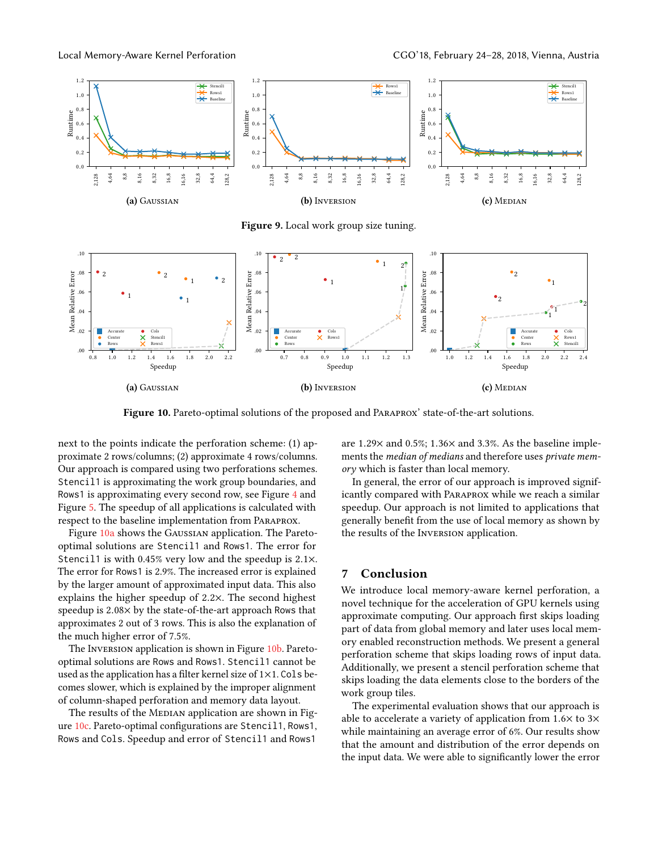<span id="page-8-1"></span>

Figure 9. Local work group size tuning.

<span id="page-8-2"></span>

Figure 10. Pareto-optimal solutions of the proposed and Paraprox' state-of-the-art solutions.

next to the points indicate the perforation scheme: (1) approximate 2 rows/columns; (2) approximate 4 rows/columns. Our approach is compared using two perforations schemes. Stencil1 is approximating the work group boundaries, and Rows1 is approximating every second row, see Figure [4](#page-4-1) and Figure [5.](#page-4-2) The speedup of all applications is calculated with respect to the baseline implementation from Paraprox.

Figure [10a](#page-8-2) shows the Gaussian application. The Paretooptimal solutions are Stencil1 and Rows1. The error for Stencil1 is with 0.45% very low and the speedup is <sup>2</sup>.1×. The error for Rows1 is 2.9%. The increased error is explained by the larger amount of approximated input data. This also explains the higher speedup of <sup>2</sup>.2×. The second highest speedup is <sup>2</sup>.08<sup>×</sup> by the state-of-the-art approach Rows that approximates 2 out of 3 rows. This is also the explanation of the much higher error of 7.5%.

The Inversion application is shown in Figure [10b.](#page-8-2) Paretooptimal solutions are Rows and Rows1. Stencil1 cannot be used as the application has a filter kernel size of 1×1. Cols becomes slower, which is explained by the improper alignment of column-shaped perforation and memory data layout.

The results of the MEDIAN application are shown in Figure [10c.](#page-8-2) Pareto-optimal configurations are Stencil1, Rows1, Rows and Cols. Speedup and error of Stencil1 and Rows1

are <sup>1</sup>.29<sup>×</sup> and 0.5%; <sup>1</sup>.36<sup>×</sup> and 3.3%. As the baseline implements the median of medians and therefore uses private memory which is faster than local memory.

In general, the error of our approach is improved significantly compared with Paraprox while we reach a similar speedup. Our approach is not limited to applications that generally benefit from the use of local memory as shown by the results of the Inversion application.

# <span id="page-8-0"></span>7 Conclusion

We introduce local memory-aware kernel perforation, a novel technique for the acceleration of GPU kernels using approximate computing. Our approach first skips loading part of data from global memory and later uses local memory enabled reconstruction methods. We present a general perforation scheme that skips loading rows of input data. Additionally, we present a stencil perforation scheme that skips loading the data elements close to the borders of the work group tiles.

The experimental evaluation shows that our approach is able to accelerate a variety of application from <sup>1</sup>.6<sup>×</sup> to <sup>3</sup><sup>×</sup> while maintaining an average error of 6%. Our results show that the amount and distribution of the error depends on the input data. We were able to significantly lower the error